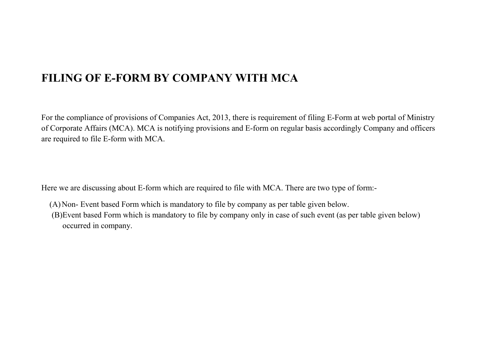## **FILING OF E-FORM BY COMPANY WITH MCA**

For the compliance of provisions of Companies Act, 2013, there is requirement of filing E-Form at web portal of Ministry of Corporate Affairs (MCA). MCA is notifying provisions and E-form on regular basis accordingly Company and officers are required to file E-form with MCA.

Here we are discussing about E-form which are required to file with MCA. There are two type of form:-

- (A)Non- Event based Form which is mandatory to file by company as per table given below.
- (B)Event based Form which is mandatory to file by company only in case of such event (as per table given below) occurred in company.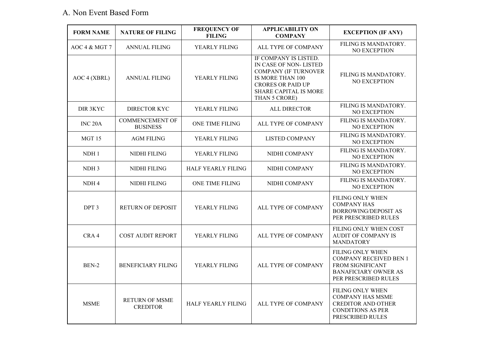## A. Non Event Based Form

| <b>FORM NAME</b>    | <b>NATURE OF FILING</b>                   | <b>FREQUENCY OF</b><br><b>FILING</b> | <b>APPLICABILITY ON</b><br><b>COMPANY</b>                                                                                                                               | <b>EXCEPTION (IF ANY)</b>                                                                                                           |
|---------------------|-------------------------------------------|--------------------------------------|-------------------------------------------------------------------------------------------------------------------------------------------------------------------------|-------------------------------------------------------------------------------------------------------------------------------------|
| AOC 4 & MGT 7       | <b>ANNUAL FILING</b>                      | YEARLY FILING                        | ALL TYPE OF COMPANY                                                                                                                                                     | FILING IS MANDATORY.<br>NO EXCEPTION                                                                                                |
| AOC 4 (XBRL)        | <b>ANNUAL FILING</b>                      | YEARLY FILING                        | IF COMPANY IS LISTED.<br>IN CASE OF NON-LISTED<br><b>COMPANY (IF TURNOVER</b><br>IS MORE THAN 100<br><b>CRORES OR PAID UP</b><br>SHARE CAPITAL IS MORE<br>THAN 5 CRORE) | FILING IS MANDATORY.<br><b>NO EXCEPTION</b>                                                                                         |
| DIR 3KYC            | <b>DIRECTOR KYC</b>                       | YEARLY FILING                        | <b>ALL DIRECTOR</b>                                                                                                                                                     | FILING IS MANDATORY.<br>NO EXCEPTION                                                                                                |
| INC <sub>20</sub> A | <b>COMMENCEMENT OF</b><br><b>BUSINESS</b> | ONE TIME FILING                      | ALL TYPE OF COMPANY                                                                                                                                                     | FILING IS MANDATORY.<br>NO EXCEPTION                                                                                                |
| MGT 15              | <b>AGM FILING</b>                         | YEARLY FILING                        | LISTED COMPANY                                                                                                                                                          | FILING IS MANDATORY.<br>NO EXCEPTION                                                                                                |
| NDH1                | NIDHI FILING                              | YEARLY FILING                        | NIDHI COMPANY                                                                                                                                                           | FILING IS MANDATORY.<br>NO EXCEPTION                                                                                                |
| NDH 3               | NIDHI FILING                              | <b>HALF YEARLY FILING</b>            | NIDHI COMPANY                                                                                                                                                           | FILING IS MANDATORY.<br>NO EXCEPTION                                                                                                |
| NDH <sub>4</sub>    | <b>NIDHI FILING</b>                       | ONE TIME FILING                      | NIDHI COMPANY                                                                                                                                                           | FILING IS MANDATORY.<br>NO EXCEPTION                                                                                                |
| DPT <sub>3</sub>    | <b>RETURN OF DEPOSIT</b>                  | YEARLY FILING                        | ALL TYPE OF COMPANY                                                                                                                                                     | <b>FILING ONLY WHEN</b><br><b>COMPANY HAS</b><br><b>BORROWING/DEPOSIT AS</b><br>PER PRESCRIBED RULES                                |
| CRA4                | <b>COST AUDIT REPORT</b>                  | YEARLY FILING                        | ALL TYPE OF COMPANY                                                                                                                                                     | FILING ONLY WHEN COST<br><b>AUDIT OF COMPANY IS</b><br><b>MANDATORY</b>                                                             |
| BEN-2               | <b>BENEFICIARY FILING</b>                 | YEARLY FILING                        | ALL TYPE OF COMPANY                                                                                                                                                     | FILING ONLY WHEN<br><b>COMPANY RECEIVED BEN 1</b><br><b>FROM SIGNIFICANT</b><br><b>BANAFICIARY OWNER AS</b><br>PER PRESCRIBED RULES |
| <b>MSME</b>         | <b>RETURN OF MSME</b><br><b>CREDITOR</b>  | <b>HALF YEARLY FILING</b>            | ALL TYPE OF COMPANY                                                                                                                                                     | <b>FILING ONLY WHEN</b><br><b>COMPANY HAS MSME</b><br><b>CREDITOR AND OTHER</b><br><b>CONDITIONS AS PER</b><br>PRESCRIBED RULES     |